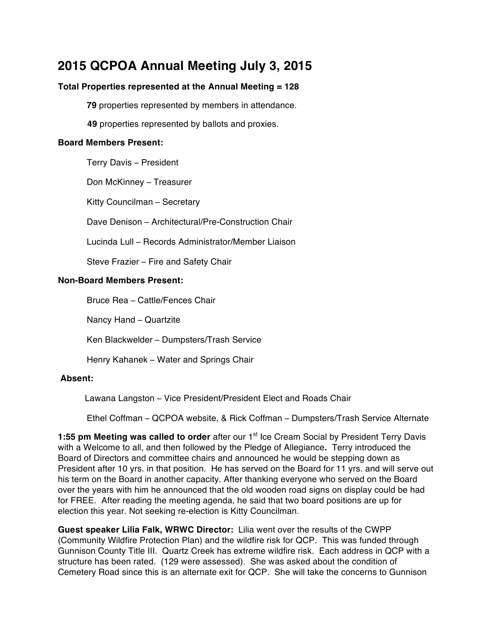# **2015 QCPOA Annual Meeting July 3, 2015**

# **Total Properties represented at the Annual Meeting = 128**

**79** properties represented by members in attendance.

**49** properties represented by ballots and proxies.

## **Board Members Present:**

Terry Davis – President

Don McKinney – Treasurer

Kitty Councilman – Secretary

Dave Denison – Architectural/Pre-Construction Chair

Lucinda Lull – Records Administrator/Member Liaison

Steve Frazier – Fire and Safety Chair

## **Non-Board Members Present:**

Bruce Rea – Cattle/Fences Chair

Nancy Hand – Quartzite

Ken Blackwelder – Dumpsters/Trash Service

Henry Kahanek – Water and Springs Chair

#### **Absent:**

Lawana Langston – Vice President/President Elect and Roads Chair

Ethel Coffman – QCPOA website, & Rick Coffman – Dumpsters/Trash Service Alternate

**1:55 pm Meeting was called to order** after our 1<sup>st</sup> Ice Cream Social by President Terry Davis with a Welcome to all, and then followed by the Pledge of Allegiance**.** Terry introduced the Board of Directors and committee chairs and announced he would be stepping down as President after 10 yrs. in that position. He has served on the Board for 11 yrs. and will serve out his term on the Board in another capacity. After thanking everyone who served on the Board over the years with him he announced that the old wooden road signs on display could be had for FREE. After reading the meeting agenda, he said that two board positions are up for election this year. Not seeking re-election is Kitty Councilman.

**Guest speaker Lilia Falk, WRWC Director:** Lilia went over the results of the CWPP (Community Wildfire Protection Plan) and the wildfire risk for QCP. This was funded through Gunnison County Title III. Quartz Creek has extreme wildfire risk. Each address in QCP with a structure has been rated. (129 were assessed). She was asked about the condition of Cemetery Road since this is an alternate exit for QCP. She will take the concerns to Gunnison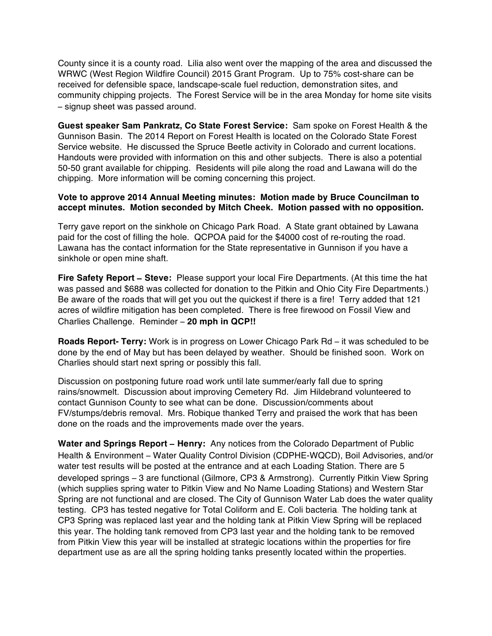County since it is a county road. Lilia also went over the mapping of the area and discussed the WRWC (West Region Wildfire Council) 2015 Grant Program. Up to 75% cost-share can be received for defensible space, landscape-scale fuel reduction, demonstration sites, and community chipping projects. The Forest Service will be in the area Monday for home site visits – signup sheet was passed around.

**Guest speaker Sam Pankratz, Co State Forest Service:** Sam spoke on Forest Health & the Gunnison Basin. The 2014 Report on Forest Health is located on the Colorado State Forest Service website. He discussed the Spruce Beetle activity in Colorado and current locations. Handouts were provided with information on this and other subjects. There is also a potential 50-50 grant available for chipping. Residents will pile along the road and Lawana will do the chipping. More information will be coming concerning this project.

## **Vote to approve 2014 Annual Meeting minutes: Motion made by Bruce Councilman to accept minutes. Motion seconded by Mitch Cheek. Motion passed with no opposition.**

Terry gave report on the sinkhole on Chicago Park Road. A State grant obtained by Lawana paid for the cost of filling the hole. QCPOA paid for the \$4000 cost of re-routing the road. Lawana has the contact information for the State representative in Gunnison if you have a sinkhole or open mine shaft.

**Fire Safety Report** – **Steve:** Please support your local Fire Departments. (At this time the hat was passed and \$688 was collected for donation to the Pitkin and Ohio City Fire Departments.) Be aware of the roads that will get you out the quickest if there is a fire! Terry added that 121 acres of wildfire mitigation has been completed. There is free firewood on Fossil View and Charlies Challenge. Reminder – **20 mph in QCP!!**

**Roads Report- Terry:** Work is in progress on Lower Chicago Park Rd – it was scheduled to be done by the end of May but has been delayed by weather. Should be finished soon. Work on Charlies should start next spring or possibly this fall.

Discussion on postponing future road work until late summer/early fall due to spring rains/snowmelt. Discussion about improving Cemetery Rd. Jim Hildebrand volunteered to contact Gunnison County to see what can be done. Discussion/comments about FV/stumps/debris removal. Mrs. Robique thanked Terry and praised the work that has been done on the roads and the improvements made over the years.

**Water and Springs Report – Henry:** Any notices from the Colorado Department of Public Health & Environment – Water Quality Control Division (CDPHE-WQCD), Boil Advisories, and/or water test results will be posted at the entrance and at each Loading Station. There are 5 developed springs – 3 are functional (Gilmore, CP3 & Armstrong). Currently Pitkin View Spring (which supplies spring water to Pitkin View and No Name Loading Stations) and Western Star Spring are not functional and are closed. The City of Gunnison Water Lab does the water quality testing. CP3 has tested negative for Total Coliform and E. Coli bacteria. The holding tank at CP3 Spring was replaced last year and the holding tank at Pitkin View Spring will be replaced this year. The holding tank removed from CP3 last year and the holding tank to be removed from Pitkin View this year will be installed at strategic locations within the properties for fire department use as are all the spring holding tanks presently located within the properties.